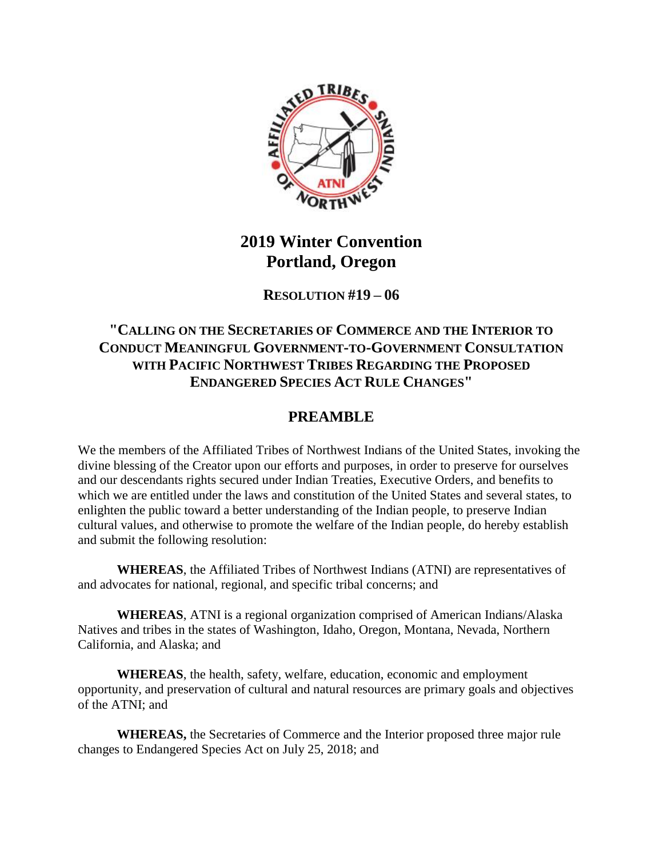

## **2019 Winter Convention Portland, Oregon**

**RESOLUTION #19 – 06**

## **"CALLING ON THE SECRETARIES OF COMMERCE AND THE INTERIOR TO CONDUCT MEANINGFUL GOVERNMENT-TO-GOVERNMENT CONSULTATION WITH PACIFIC NORTHWEST TRIBES REGARDING THE PROPOSED ENDANGERED SPECIES ACT RULE CHANGES"**

## **PREAMBLE**

We the members of the Affiliated Tribes of Northwest Indians of the United States, invoking the divine blessing of the Creator upon our efforts and purposes, in order to preserve for ourselves and our descendants rights secured under Indian Treaties, Executive Orders, and benefits to which we are entitled under the laws and constitution of the United States and several states, to enlighten the public toward a better understanding of the Indian people, to preserve Indian cultural values, and otherwise to promote the welfare of the Indian people, do hereby establish and submit the following resolution:

**WHEREAS**, the Affiliated Tribes of Northwest Indians (ATNI) are representatives of and advocates for national, regional, and specific tribal concerns; and

**WHEREAS**, ATNI is a regional organization comprised of American Indians/Alaska Natives and tribes in the states of Washington, Idaho, Oregon, Montana, Nevada, Northern California, and Alaska; and

**WHEREAS**, the health, safety, welfare, education, economic and employment opportunity, and preservation of cultural and natural resources are primary goals and objectives of the ATNI; and

**WHEREAS,** the Secretaries of Commerce and the Interior proposed three major rule changes to Endangered Species Act on July 25, 2018; and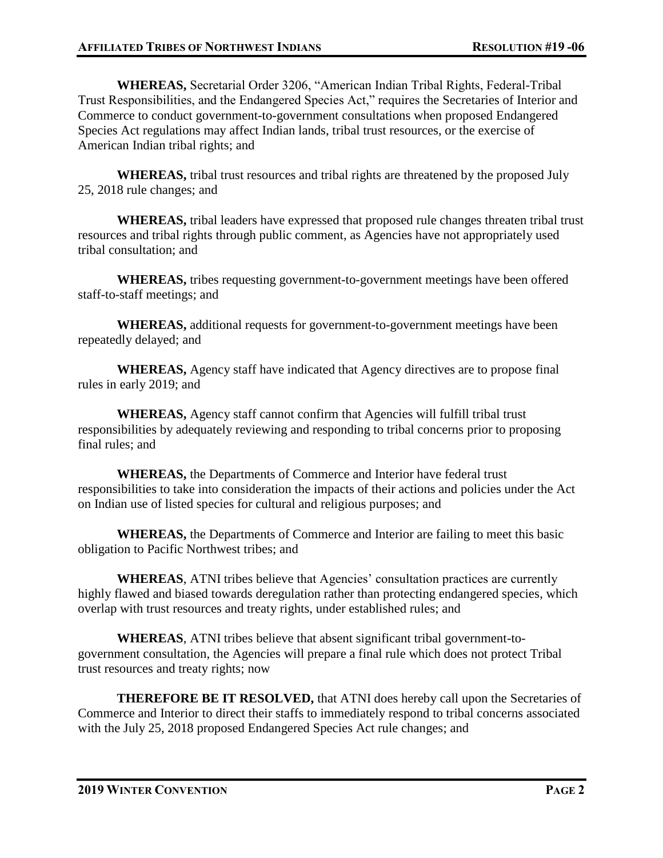**WHEREAS,** Secretarial Order 3206, "American Indian Tribal Rights, Federal-Tribal Trust Responsibilities, and the Endangered Species Act," requires the Secretaries of Interior and Commerce to conduct government-to-government consultations when proposed Endangered Species Act regulations may affect Indian lands, tribal trust resources, or the exercise of American Indian tribal rights; and

**WHEREAS,** tribal trust resources and tribal rights are threatened by the proposed July 25, 2018 rule changes; and

**WHEREAS,** tribal leaders have expressed that proposed rule changes threaten tribal trust resources and tribal rights through public comment, as Agencies have not appropriately used tribal consultation; and

**WHEREAS,** tribes requesting government-to-government meetings have been offered staff-to-staff meetings; and

**WHEREAS,** additional requests for government-to-government meetings have been repeatedly delayed; and

**WHEREAS,** Agency staff have indicated that Agency directives are to propose final rules in early 2019; and

**WHEREAS,** Agency staff cannot confirm that Agencies will fulfill tribal trust responsibilities by adequately reviewing and responding to tribal concerns prior to proposing final rules; and

**WHEREAS,** the Departments of Commerce and Interior have federal trust responsibilities to take into consideration the impacts of their actions and policies under the Act on Indian use of listed species for cultural and religious purposes; and

**WHEREAS,** the Departments of Commerce and Interior are failing to meet this basic obligation to Pacific Northwest tribes; and

**WHEREAS**, ATNI tribes believe that Agencies' consultation practices are currently highly flawed and biased towards deregulation rather than protecting endangered species, which overlap with trust resources and treaty rights, under established rules; and

**WHEREAS**, ATNI tribes believe that absent significant tribal government-togovernment consultation, the Agencies will prepare a final rule which does not protect Tribal trust resources and treaty rights; now

**THEREFORE BE IT RESOLVED,** that ATNI does hereby call upon the Secretaries of Commerce and Interior to direct their staffs to immediately respond to tribal concerns associated with the July 25, 2018 proposed Endangered Species Act rule changes; and